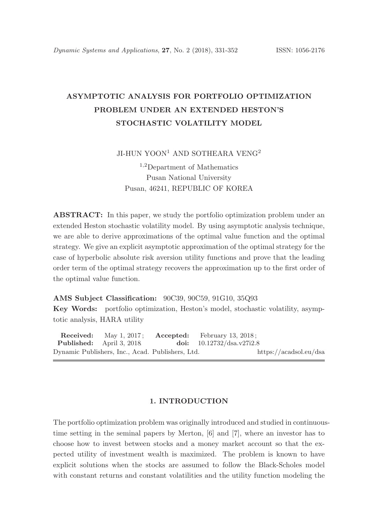# ASYMPTOTIC ANALYSIS FOR PORTFOLIO OPTIMIZATION PROBLEM UNDER AN EXTENDED HESTON'S STOCHASTIC VOLATILITY MODEL

JI-HUN YOON<sup>1</sup> AND SOTHEARA VENG<sup>2</sup>

<sup>1</sup>,<sup>2</sup>Department of Mathematics Pusan National University Pusan, 46241, REPUBLIC OF KOREA

ABSTRACT: In this paper, we study the portfolio optimization problem under an extended Heston stochastic volatility model. By using asymptotic analysis technique, we are able to derive approximations of the optimal value function and the optimal strategy. We give an explicit asymptotic approximation of the optimal strategy for the case of hyperbolic absolute risk aversion utility functions and prove that the leading order term of the optimal strategy recovers the approximation up to the first order of the optimal value function.

AMS Subject Classification: 90C39, 90C59, 91G10, 35Q93

Key Words: portfolio optimization, Heston's model, stochastic volatility, asymptotic analysis, HARA utility

Received: May 1, 2017; Accepted: February 13, 2018;<br>Published: April 3, 2018 doi:  $10.12732/dsa.v27i2.8$ April 3, 2018. doi: 10.12732/dsa.v27i2.8 Dynamic Publishers, Inc., Acad. Publishers, Ltd. https://acadsol.eu/dsa

## 1. INTRODUCTION

The portfolio optimization problem was originally introduced and studied in continuoustime setting in the seminal papers by Merton, [6] and [7], where an investor has to choose how to invest between stocks and a money market account so that the expected utility of investment wealth is maximized. The problem is known to have explicit solutions when the stocks are assumed to follow the Black-Scholes model with constant returns and constant volatilities and the utility function modeling the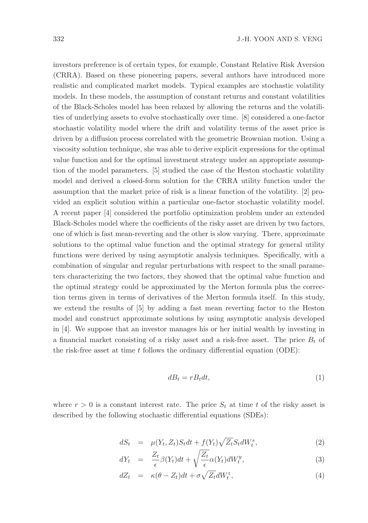investors preference is of certain types, for example, Constant Relative Risk Aversion (CRRA). Based on these pioneering papers, several authors have introduced more realistic and complicated market models. Typical examples are stochastic volatility models. In these models, the assumption of constant returns and constant volatilities of the Black-Scholes model has been relaxed by allowing the returns and the volatilities of underlying assets to evolve stochastically over time. [8] considered a one-factor stochastic volatility model where the drift and volatility terms of the asset price is driven by a diffusion process correlated with the geometric Brownian motion. Using a viscosity solution technique, she was able to derive explicit expressions for the optimal value function and for the optimal investment strategy under an appropriate assumption of the model parameters. [5] studied the case of the Heston stochastic volatility model and derived a closed-form solution for the CRRA utility function under the assumption that the market price of risk is a linear function of the volatility. [2] provided an explicit solution within a particular one-factor stochastic volatility model. A recent paper [4] considered the portfolio optimization problem under an extended Black-Scholes model where the coefficients of the risky asset are driven by two factors, one of which is fast mean-reverting and the other is slow varying. There, approximate solutions to the optimal value function and the optimal strategy for general utility functions were derived by using asymptotic analysis techniques. Specifically, with a combination of singular and regular perturbations with respect to the small parameters characterizing the two factors, they showed that the optimal value function and the optimal strategy could be approximated by the Merton formula plus the correction terms given in terms of derivatives of the Merton formula itself. In this study, we extend the results of [5] by adding a fast mean reverting factor to the Heston model and construct approximate solutions by using asymptotic analysis developed in [4]. We suppose that an investor manages his or her initial wealth by investing in a financial market consisting of a risky asset and a risk-free asset. The price  $B_t$  of the risk-free asset at time t follows the ordinary differential equation (ODE):

$$
dB_t = rB_t dt,\t\t(1)
$$

where  $r > 0$  is a constant interest rate. The price  $S_t$  at time t of the risky asset is described by the following stochastic differential equations (SDEs):

$$
dS_t = \mu(Y_t, Z_t)S_t dt + f(Y_t)\sqrt{Z_t}S_t dW_t^s, \qquad (2)
$$

$$
dY_t = \frac{Z_t}{\epsilon} \beta(Y_t) dt + \sqrt{\frac{Z_t}{\epsilon}} \alpha(Y_t) dW_t^y, \qquad (3)
$$

$$
dZ_t = \kappa(\theta - Z_t)dt + \sigma \sqrt{Z_t}dW_t^z, \tag{4}
$$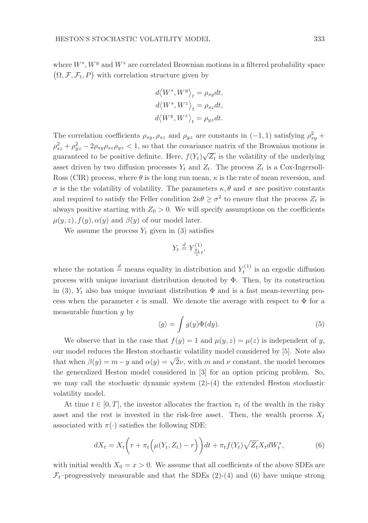where  $W^s$ ,  $W^y$  and  $W^z$  are correlated Brownian motions in a filtered probability space  $\left( \Omega,\mathcal{F},\mathcal{F}_{t},P\right)$  with correlation structure given by

$$
\begin{aligned} d\big\langle W^s,W^y\big\rangle_t&=\rho_{sy}dt,\\ d\big\langle W^s,W^z\big\rangle_t&=\rho_{sz}dt,\\ d\big\langle W^y,W^z\big\rangle_t&=\rho_{yz}dt. \end{aligned}
$$

The correlation coefficients  $\rho_{sy}, \rho_{sz}$  and  $\rho_{yz}$  are constants in  $(-1, 1)$  satisfying  $\rho_{sy}^2$  +  $\rho_{sz}^2 + \rho_{yz}^2 - 2\rho_{sy}\rho_{sz}\rho_{yz} < 1$ , so that the covariance matrix of the Brownian motions is guaranteed to be positive definite. Here,  $f(Y_t)\sqrt{Z_t}$  is the volatility of the underlying asset driven by two diffusion processes  $Y_t$  and  $Z_t$ . The process  $Z_t$  is a Cox-Ingersoll-Ross (CIR) process, where  $\theta$  is the long run mean,  $\kappa$  is the rate of mean reversion, and σ is the the volatility of volatility. The parameters κ, θ and σ are positive constants and required to satisfy the Feller condition  $2\kappa\theta \geq \sigma^2$  to ensure that the process  $Z_t$  is always positive starting with  $Z_0 > 0$ . We will specify assumptions on the coefficients  $\mu(y, z), f(y), \alpha(y)$  and  $\beta(y)$  of our model later.

We assume the process  $Y_t$  given in (3) satisfies

$$
Y_t \stackrel{d}{=} Y_{\frac{Z_t}{\epsilon}t}^{(1)},
$$

where the notation  $\stackrel{d}{=}$  means equality in distribution and  $Y_t^{(1)}$  is an ergodic diffusion process with unique invariant distribution denoted by  $\Phi$ . Then, by its construction in (3),  $Y_t$  also has unique invariant distribution  $\Phi$  and is a fast mean-reverting process when the parameter  $\epsilon$  is small. We denote the average with respect to  $\Phi$  for a measurable function  $q$  by

$$
\langle g \rangle = \int g(y)\Phi(dy). \tag{5}
$$

We observe that in the case that  $f(y) = 1$  and  $\mu(y, z) = \mu(z)$  is independent of y, our model reduces the Heston stochastic volatility model considered by [5]. Note also that when  $\beta(y) = m - y$  and  $\alpha(y) = \sqrt{2}\nu$ , with m and  $\nu$  constant, the model becomes the generalized Heston model considered in [3] for an option pricing problem. So, we may call the stochastic dynamic system (2)-(4) the extended Heston stochastic volatility model.

At time  $t \in [0, T]$ , the investor allocates the fraction  $\pi_t$  of the wealth in the risky asset and the rest is invested in the risk-free asset. Then, the wealth process  $X_t$ associated with  $\pi(\cdot)$  satisfies the following SDE:

$$
dX_t = X_t \left( r + \pi_t \left( \mu(Y_t, Z_t) - r \right) \right) dt + \pi_t f(Y_t) \sqrt{Z_t} X_t dW_t^s, \tag{6}
$$

with initial wealth  $X_0 = x > 0$ . We assume that all coefficients of the above SDEs are  $\mathcal{F}_t$ -progressively measurable and that the SDEs (2)-(4) and (6) have unique strong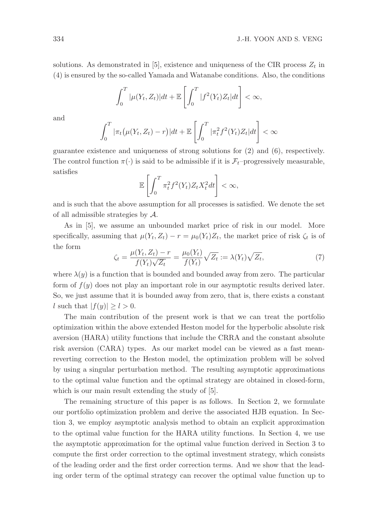solutions. As demonstrated in [5], existence and uniqueness of the CIR process  $Z_t$  in (4) is ensured by the so-called Yamada and Watanabe conditions. Also, the conditions

$$
\int_0^T |\mu(Y_t, Z_t)| dt + \mathbb{E}\left[\int_0^T |f^2(Y_t)Z_t| dt\right] < \infty,
$$

and

$$
\int_0^T |\pi_t(\mu(Y_t, Z_t) - r)| dt + \mathbb{E}\left[\int_0^T |\pi_t^2 f^2(Y_t) Z_t| dt\right] < \infty
$$

guarantee existence and uniqueness of strong solutions for (2) and (6), respectively. The control function  $\pi(\cdot)$  is said to be admissible if it is  $\mathcal{F}_t$ –progressively measurable, satisfies

$$
\mathbb{E}\left[\int_0^T \pi_t^2 f^2(Y_t) Z_t X_t^2 dt\right] < \infty,
$$

and is such that the above assumption for all processes is satisfied. We denote the set of all admissible strategies by A.

As in [5], we assume an unbounded market price of risk in our model. More specifically, assuming that  $\mu(Y_t, Z_t) - r = \mu_0(Y_t)Z_t$ , the market price of risk  $\zeta_t$  is of the form

$$
\zeta_t = \frac{\mu(Y_t, Z_t) - r}{f(Y_t)\sqrt{Z_t}} = \frac{\mu_0(Y_t)}{f(Y_t)}\sqrt{Z_t} := \lambda(Y_t)\sqrt{Z_t},\tag{7}
$$

where  $\lambda(y)$  is a function that is bounded and bounded away from zero. The particular form of  $f(y)$  does not play an important role in our asymptotic results derived later. So, we just assume that it is bounded away from zero, that is, there exists a constant l such that  $|f(y)| \geq l > 0$ .

The main contribution of the present work is that we can treat the portfolio optimization within the above extended Heston model for the hyperbolic absolute risk aversion (HARA) utility functions that include the CRRA and the constant absolute risk aversion (CARA) types. As our market model can be viewed as a fast meanreverting correction to the Heston model, the optimization problem will be solved by using a singular perturbation method. The resulting asymptotic approximations to the optimal value function and the optimal strategy are obtained in closed-form, which is our main result extending the study of [5].

The remaining structure of this paper is as follows. In Section 2, we formulate our portfolio optimization problem and derive the associated HJB equation. In Section 3, we employ asymptotic analysis method to obtain an explicit approximation to the optimal value function for the HARA utility functions. In Section 4, we use the asymptotic approximation for the optimal value function derived in Section 3 to compute the first order correction to the optimal investment strategy, which consists of the leading order and the first order correction terms. And we show that the leading order term of the optimal strategy can recover the optimal value function up to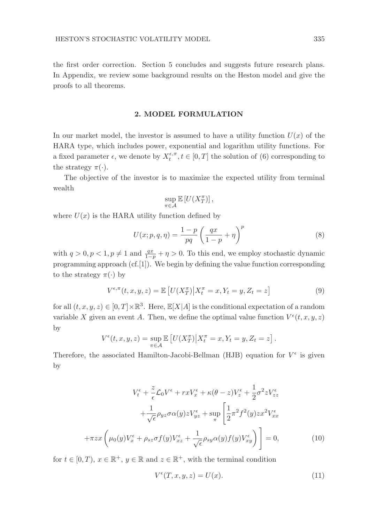the first order correction. Section 5 concludes and suggests future research plans. In Appendix, we review some background results on the Heston model and give the proofs to all theorems.

#### 2. MODEL FORMULATION

In our market model, the investor is assumed to have a utility function  $U(x)$  of the HARA type, which includes power, exponential and logarithm utility functions. For a fixed parameter  $\epsilon$ , we denote by  $X_t^{\epsilon,\pi}, t \in [0,T]$  the solution of (6) corresponding to the strategy  $\pi(\cdot)$ .

The objective of the investor is to maximize the expected utility from terminal wealth

$$
\sup_{\pi \in \mathcal{A}} \mathbb{E} \left[ U(X_T^{\pi}) \right],
$$

where  $U(x)$  is the HARA utility function defined by

$$
U(x; p, q, \eta) = \frac{1-p}{pq} \left(\frac{qx}{1-p} + \eta\right)^p \tag{8}
$$

with  $q > 0, p < 1, p \neq 1$  and  $\frac{qx}{1-p} + \eta > 0$ . To this end, we employ stochastic dynamic programming approach  $(cf.[1])$ . We begin by defining the value function corresponding to the strategy  $\pi(\cdot)$  by

$$
V^{\epsilon,\pi}(t,x,y,z) = \mathbb{E}\left[U(X_T^{\pi})\big|X_t^{\pi} = x, Y_t = y, Z_t = z\right]
$$
\n(9)

for all  $(t, x, y, z) \in [0, T] \times \mathbb{R}^3$ . Here,  $\mathbb{E}[X|A]$  is the conditional expectation of a random variable X given an event A. Then, we define the optimal value function  $V^{\epsilon}(t, x, y, z)$ by

$$
V^{\epsilon}(t, x, y, z) = \sup_{\pi \in \mathcal{A}} \mathbb{E}\left[U(X_T^{\pi})\middle| X_t^{\pi} = x, Y_t = y, Z_t = z\right].
$$

Therefore, the associated Hamilton-Jacobi-Bellman (HJB) equation for  $V^{\epsilon}$  is given by

$$
V_t^{\epsilon} + \frac{z}{\epsilon} \mathcal{L}_0 V^{\epsilon} + rxV_x^{\epsilon} + \kappa(\theta - z)V_z^{\epsilon} + \frac{1}{2}\sigma^2 z V_{zz}^{\epsilon}
$$

$$
+ \frac{1}{\sqrt{\epsilon}} \rho_{yz} \sigma \alpha(y) z V_{yz}^{\epsilon} + \sup_{\pi} \left[ \frac{1}{2} \pi^2 f^2(y) z x^2 V_{xx}^{\epsilon} + \pi z x \left( \mu_0(y) V_x^{\epsilon} + \rho_{sz} \sigma f(y) V_{xz}^{\epsilon} + \frac{1}{\sqrt{\epsilon}} \rho_{sy} \alpha(y) f(y) V_{xy}^{\epsilon} \right) \right] = 0, \tag{10}
$$

for  $t \in [0, T)$ ,  $x \in \mathbb{R}^+$ ,  $y \in \mathbb{R}$  and  $z \in \mathbb{R}^+$ , with the terminal condition

$$
V^{\epsilon}(T, x, y, z) = U(x). \tag{11}
$$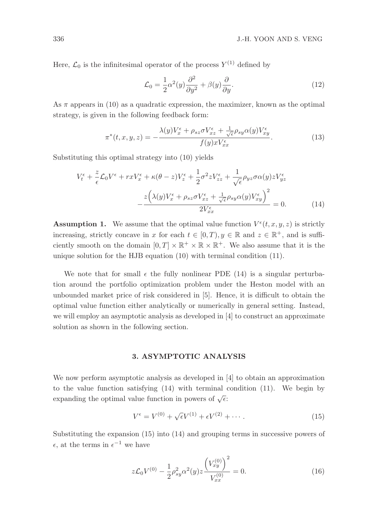Here,  $\mathcal{L}_0$  is the infinitesimal operator of the process  $Y^{(1)}$  defined by

$$
\mathcal{L}_0 = \frac{1}{2} \alpha^2(y) \frac{\partial^2}{\partial y^2} + \beta(y) \frac{\partial}{\partial y}.
$$
\n(12)

As  $\pi$  appears in (10) as a quadratic expression, the maximizer, known as the optimal strategy, is given in the following feedback form:

$$
\pi^*(t, x, y, z) = -\frac{\lambda(y)V_x^{\epsilon} + \rho_{sz}\sigma V_{xz}^{\epsilon} + \frac{1}{\sqrt{\epsilon}}\rho_{sy}\alpha(y)V_{xy}^{\epsilon}}{f(y)xV_{xx}^{\epsilon}}.
$$
\n(13)

Substituting this optimal strategy into (10) yields

$$
V_t^{\epsilon} + \frac{z}{\epsilon} \mathcal{L}_0 V^{\epsilon} + rxV_x^{\epsilon} + \kappa(\theta - z)V_z^{\epsilon} + \frac{1}{2}\sigma^2 z V_{zz}^{\epsilon} + \frac{1}{\sqrt{\epsilon}} \rho_{yz} \sigma \alpha(y) z V_{yz}^{\epsilon}
$$

$$
- \frac{z(\lambda(y)V_x^{\epsilon} + \rho_{sz} \sigma V_{xz}^{\epsilon} + \frac{1}{\sqrt{\epsilon}} \rho_{sy} \alpha(y) V_{xy}^{\epsilon})^2}{2V_{xx}^{\epsilon}} = 0. \tag{14}
$$

**Assumption 1.** We assume that the optimal value function  $V^{\epsilon}(t, x, y, z)$  is strictly increasing, strictly concave in x for each  $t \in [0, T)$ ,  $y \in \mathbb{R}$  and  $z \in \mathbb{R}^+$ , and is sufficiently smooth on the domain  $[0, T] \times \mathbb{R}^+ \times \mathbb{R} \times \mathbb{R}^+$ . We also assume that it is the unique solution for the HJB equation (10) with terminal condition (11).

We note that for small  $\epsilon$  the fully nonlinear PDE (14) is a singular perturbation around the portfolio optimization problem under the Heston model with an unbounded market price of risk considered in [5]. Hence, it is difficult to obtain the optimal value function either analytically or numerically in general setting. Instead, we will employ an asymptotic analysis as developed in [4] to construct an approximate solution as shown in the following section.

## 3. ASYMPTOTIC ANALYSIS

We now perform asymptotic analysis as developed in [4] to obtain an approximation to the value function satisfying (14) with terminal condition (11). We begin by expanding the optimal value function in powers of  $\sqrt{\epsilon}$ :

$$
V^{\epsilon} = V^{(0)} + \sqrt{\epsilon}V^{(1)} + \epsilon V^{(2)} + \cdots.
$$
 (15)

Substituting the expansion (15) into (14) and grouping terms in successive powers of  $\epsilon$ , at the terms in  $\epsilon^{-1}$  we have

$$
z\mathcal{L}_0 V^{(0)} - \frac{1}{2} \rho_{sy}^2 \alpha^2(y) z \frac{\left(V_{xy}^{(0)}\right)^2}{V_{xx}^{(0)}} = 0.
$$
 (16)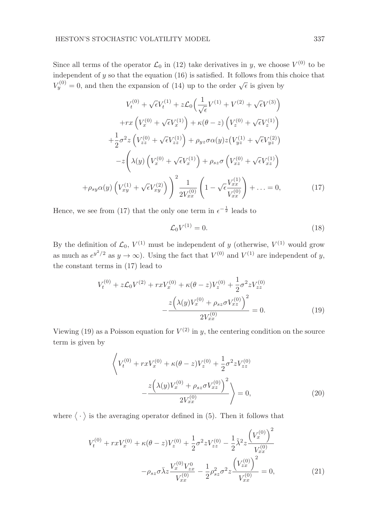Since all terms of the operator  $\mathcal{L}_0$  in (12) take derivatives in y, we choose  $V^{(0)}$  to be independent of  $y$  so that the equation (16) is satisfied. It follows from this choice that  $V_y^{(0)} = 0$ , and then the expansion of (14) up to the order  $\sqrt{\epsilon}$  is given by

$$
V_t^{(0)} + \sqrt{\epsilon}V_t^{(1)} + z\mathcal{L}_0\left(\frac{1}{\sqrt{\epsilon}}V^{(1)} + V^{(2)} + \sqrt{\epsilon}V^{(3)}\right)
$$

$$
+ rx\left(V_x^{(0)} + \sqrt{\epsilon}V_x^{(1)}\right) + \kappa(\theta - z)\left(V_z^{(0)} + \sqrt{\epsilon}V_z^{(1)}\right)
$$

$$
+ \frac{1}{2}\sigma^2 z\left(V_{zz}^{(0)} + \sqrt{\epsilon}V_{zz}^{(1)}\right) + \rho_{yz}\sigma\alpha(y)z\left(V_{yz}^{(1)} + \sqrt{\epsilon}V_{yz}^{(2)}\right)
$$

$$
- z\left(\lambda(y)\left(V_x^{(0)} + \sqrt{\epsilon}V_x^{(1)}\right) + \rho_{sz}\sigma\left(V_{xz}^{(0)} + \sqrt{\epsilon}V_{xz}^{(1)}\right)\right)
$$

$$
+ \rho_{sy}\alpha(y)\left(V_{xy}^{(1)} + \sqrt{\epsilon}V_{xy}^{(2)}\right)\right)^2 \frac{1}{2V_{xx}^{(0)}}\left(1 - \sqrt{\epsilon}\frac{V_{xx}^{(1)}}{V_{xx}^{(0)}}\right) + \dots = 0,
$$
(17)

Hence, we see from (17) that the only one term in  $\epsilon^{-\frac{1}{2}}$  leads to

$$
\mathcal{L}_0 V^{(1)} = 0. \tag{18}
$$

By the definition of  $\mathcal{L}_0$ ,  $V^{(1)}$  must be independent of y (otherwise,  $V^{(1)}$  would grow as much as  $e^{y^2/2}$  as  $y \to \infty$ ). Using the fact that  $V^{(0)}$  and  $V^{(1)}$  are independent of y, the constant terms in (17) lead to

$$
V_t^{(0)} + z\mathcal{L}_0 V^{(2)} + rxV_x^{(0)} + \kappa(\theta - z)V_z^{(0)} + \frac{1}{2}\sigma^2 zV_{zz}^{(0)}
$$

$$
-\frac{z(\lambda(y)V_x^{(0)} + \rho_{sz}\sigma V_{xz}^{(0)})^2}{2V_{xx}^{(0)}} = 0.
$$
 (19)

Viewing (19) as a Poisson equation for  $V^{(2)}$  in y, the centering condition on the source term is given by

$$
\left\langle V_t^{(0)} + rxV_x^{(0)} + \kappa(\theta - z)V_z^{(0)} + \frac{1}{2}\sigma^2 z V_{zz}^{(0)} - \frac{z(\lambda(y)V_x^{(0)} + \rho_{sz}\sigma V_{xz}^{(0)})^2}{2V_{xx}^{(0)}} \right\rangle = 0,
$$
\n(20)

where  $\left\langle \;\cdot\;\right\rangle$  is the averaging operator defined in (5). Then it follows that

$$
V_t^{(0)} + rxV_x^{(0)} + \kappa(\theta - z)V_z^{(0)} + \frac{1}{2}\sigma^2 z V_{zz}^{(0)} - \frac{1}{2}\tilde{\lambda}^2 z \frac{\left(V_x^{(0)}\right)^2}{V_{xx}^{(0)}}
$$

$$
-\rho_{sz}\sigma\bar{\lambda}z \frac{V_x^{(0)}V_{zx}^0}{V_{xx}^{(0)}} - \frac{1}{2}\rho_{sz}^2\sigma^2 z \frac{\left(V_{zx}^{(0)}\right)^2}{V_{xx}^{(0)}} = 0,
$$
(21)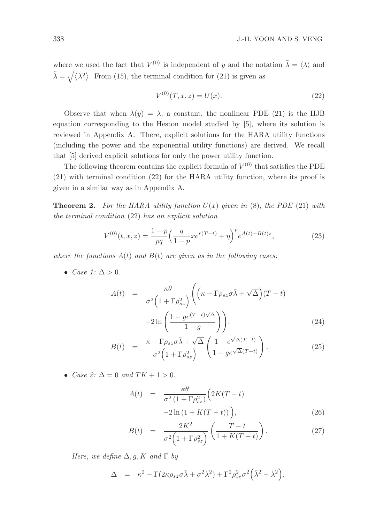where we used the fact that  $V^{(0)}$  is independent of y and the notation  $\bar{\lambda} = \langle \lambda \rangle$  and  $\tilde{\lambda} = \sqrt{\langle \lambda^2 \rangle}$ . From (15), the terminal condition for (21) is given as

$$
V^{(0)}(T, x, z) = U(x). \tag{22}
$$

Observe that when  $\lambda(y) = \lambda$ , a constant, the nonlinear PDE (21) is the HJB equation corresponding to the Heston model studied by [5], where its solution is reviewed in Appendix A. There, explicit solutions for the HARA utility functions (including the power and the exponential utility functions) are derived. We recall that [5] derived explicit solutions for only the power utility function.

The following theorem contains the explicit formula of  $V^{(0)}$  that satisfies the PDE (21) with terminal condition (22) for the HARA utility function, where its proof is given in a similar way as in Appendix A.

**Theorem 2.** For the HARA utility function  $U(x)$  given in (8), the PDE (21) with the terminal condition (22) has an explicit solution

$$
V^{(0)}(t,x,z) = \frac{1-p}{pq} \left(\frac{q}{1-p} x e^{r(T-t)} + \eta\right)^p e^{A(t) + B(t)z},\tag{23}
$$

where the functions  $A(t)$  and  $B(t)$  are given as in the following cases:

• Case 1:  $\Delta > 0$ .

$$
A(t) = \frac{\kappa \theta}{\sigma^2 \left(1 + \Gamma \rho_{sz}^2\right)} \left( \left(\kappa - \Gamma \rho_{sz} \sigma \bar{\lambda} + \sqrt{\Delta}\right) (T - t) -2 \ln \left( \frac{1 - ge^{(T - t)\sqrt{\Delta}}}{1 - g} \right) \right),
$$
\n(24)

$$
B(t) = \frac{\kappa - \Gamma \rho_{sz} \sigma \bar{\lambda} + \sqrt{\Delta}}{\sigma^2 \left(1 + \Gamma \rho_{sz}^2\right)} \left(\frac{1 - e^{\sqrt{\Delta}(T-t)}}{1 - g e^{\sqrt{\Delta}(T-t)}}\right). \tag{25}
$$

• Case 2:  $\Delta = 0$  and  $TK + 1 > 0$ .

$$
A(t) = \frac{\kappa \theta}{\sigma^2 (1 + \Gamma \rho_{sz}^2)} \left( 2K(T - t) -2 \ln \left( 1 + K(T - t) \right) \right), \tag{26}
$$

$$
B(t) = \frac{2K^2}{\sigma^2 \left(1 + \Gamma \rho_{sz}^2\right)} \left(\frac{T - t}{1 + K(T - t)}\right). \tag{27}
$$

Here, we define  $\Delta$ , q, K and  $\Gamma$  by

$$
\Delta = \kappa^2 - \Gamma(2\kappa \rho_{sz} \sigma \bar{\lambda} + \sigma^2 \tilde{\lambda}^2) + \Gamma^2 \rho_{sz}^2 \sigma^2 (\bar{\lambda}^2 - \tilde{\lambda}^2),
$$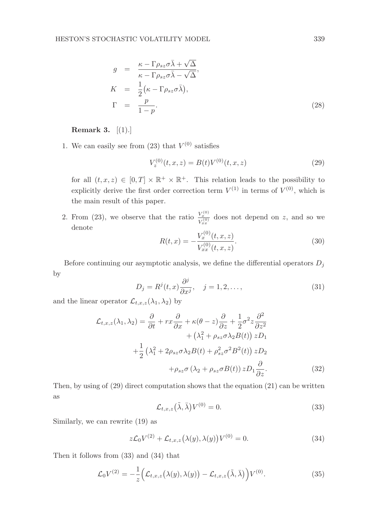$$
g = \frac{\kappa - \Gamma \rho_{sz} \sigma \bar{\lambda} + \sqrt{\Delta}}{\kappa - \Gamma \rho_{sz} \sigma \bar{\lambda} - \sqrt{\Delta}},
$$
  
\n
$$
K = \frac{1}{2} (\kappa - \Gamma \rho_{sz} \sigma \bar{\lambda}),
$$
  
\n
$$
\Gamma = \frac{p}{1 - p}.
$$
\n(28)

# Remark 3. [(1).]

1. We can easily see from  $(23)$  that  $V^{(0)}$  satisfies

$$
V_z^{(0)}(t, x, z) = B(t)V^{(0)}(t, x, z)
$$
\n(29)

for all  $(t, x, z) \in [0, T] \times \mathbb{R}^+ \times \mathbb{R}^+$ . This relation leads to the possibility to explicitly derive the first order correction term  $V^{(1)}$  in terms of  $V^{(0)}$ , which is the main result of this paper.

2. From (23), we observe that the ratio  $\frac{V_x^{(0)}}{V_{xx}^{(0)}}$  does not depend on z, and so we denote  $(0)$ 

$$
R(t,x) = -\frac{V_x^{(0)}(t,x,z)}{V_{xx}^{(0)}(t,x,z)}.
$$
\n(30)

Before continuing our asymptotic analysis, we define the differential operators  ${\cal D}_j$ by

$$
D_j = R^j(t, x) \frac{\partial^j}{\partial x^j}, \quad j = 1, 2, \dots,
$$
\n(31)

and the linear operator  $\mathcal{L}_{t,x,z}(\lambda_1,\lambda_2)$  by

$$
\mathcal{L}_{t,x,z}(\lambda_1, \lambda_2) = \frac{\partial}{\partial t} + rx \frac{\partial}{\partial x} + \kappa(\theta - z) \frac{\partial}{\partial z} + \frac{1}{2} \sigma^2 z \frac{\partial^2}{\partial z^2} \n+ (\lambda_1^2 + \rho_{sz} \sigma \lambda_2 B(t)) z D_1 \n+ \frac{1}{2} (\lambda_1^2 + 2\rho_{sz} \sigma \lambda_2 B(t) + \rho_{sz}^2 \sigma^2 B^2(t)) z D_2 \n+ \rho_{sz} \sigma (\lambda_2 + \rho_{sz} \sigma B(t)) z D_1 \frac{\partial}{\partial z}.
$$
\n(32)

Then, by using of  $(29)$  direct computation shows that the equation  $(21)$  can be written as

$$
\mathcal{L}_{t,x,z}(\tilde{\lambda},\bar{\lambda})V^{(0)}=0.
$$
\n(33)

Similarly, we can rewrite (19) as

$$
z\mathcal{L}_0 V^{(2)} + \mathcal{L}_{t,x,z}(\lambda(y), \lambda(y)) V^{(0)} = 0.
$$
\n(34)

Then it follows from (33) and (34) that

$$
\mathcal{L}_0 V^{(2)} = -\frac{1}{z} \Big( \mathcal{L}_{t,x,z} \big( \lambda(y), \lambda(y) \big) - \mathcal{L}_{t,x,z} \big( \tilde{\lambda}, \bar{\lambda} \big) \Big) V^{(0)}.
$$
 (35)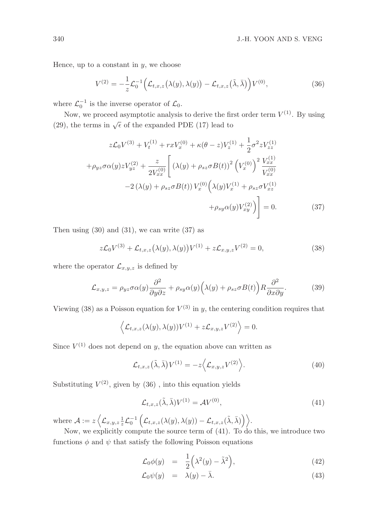Hence, up to a constant in  $y$ , we choose

$$
V^{(2)} = -\frac{1}{z}\mathcal{L}_0^{-1}\Big(\mathcal{L}_{t,x,z}\big(\lambda(y),\lambda(y)\big) - \mathcal{L}_{t,x,z}\big(\tilde{\lambda},\bar{\lambda}\big)\Big)V^{(0)},\tag{36}
$$

where  $\mathcal{L}_0^{-1}$  is the inverse operator of  $\mathcal{L}_0$ .

Now, we proceed asymptotic analysis to derive the first order term  $V^{(1)}$ . By using (29), the terms in  $\sqrt{\epsilon}$  of the expanded PDE (17) lead to

$$
z\mathcal{L}_0 V^{(3)} + V_t^{(1)} + rxV_x^{(0)} + \kappa(\theta - z)V_z^{(1)} + \frac{1}{2}\sigma^2 z V_{zz}^{(1)}
$$

$$
+ \rho_{yz}\sigma\alpha(y)zV_{yz}^{(2)} + \frac{z}{2V_{xx}^{(0)}} \left[ \left(\lambda(y) + \rho_{sz}\sigma B(t)\right)^2 \left(V_x^{(0)}\right)^2 \frac{V_{xx}^{(1)}}{V_{xx}^{(0)}}
$$

$$
-2\left(\lambda(y) + \rho_{sz}\sigma B(t)\right)V_x^{(0)}\left(\lambda(y)V_x^{(1)} + \rho_{sz}\sigma V_{xz}^{(1)}\right)
$$

$$
+ \rho_{sy}\alpha(y)V_{xy}^{(2)}\right) = 0. \tag{37}
$$

Then using  $(30)$  and  $(31)$ , we can write  $(37)$  as

$$
z\mathcal{L}_0 V^{(3)} + \mathcal{L}_{t,x,z} (\lambda(y), \lambda(y)) V^{(1)} + z\mathcal{L}_{x,y,z} V^{(2)} = 0,
$$
\n(38)

where the operator  $\mathcal{L}_{x,y,z}$  is defined by

$$
\mathcal{L}_{x,y,z} = \rho_{yz}\sigma\alpha(y)\frac{\partial^2}{\partial y\partial z} + \rho_{sy}\alpha(y)\Big(\lambda(y) + \rho_{sz}\sigma B(t)\Big)R\frac{\partial^2}{\partial x\partial y}.\tag{39}
$$

Viewing (38) as a Poisson equation for  $V^{(3)}$  in y, the centering condition requires that

$$
\left\langle \mathcal{L}_{t,x,z}(\lambda(y),\lambda(y))V^{(1)} + z\mathcal{L}_{x,y,z}V^{(2)} \right\rangle = 0.
$$

Since  $V^{(1)}$  does not depend on y, the equation above can written as

$$
\mathcal{L}_{t,x,z}(\tilde{\lambda},\bar{\lambda})V^{(1)} = -z \left\langle \mathcal{L}_{x,y,z}V^{(2)} \right\rangle. \tag{40}
$$

Substituting  $V^{(2)}$ , given by  $(36)$ , into this equation yields

$$
\mathcal{L}_{t,x,z}(\tilde{\lambda},\bar{\lambda})V^{(1)} = \mathcal{A}V^{(0)},\tag{41}
$$

where  $\mathcal{A} := z \left\langle \right.$  $\mathcal{L}_{x,y,z} \frac{1}{z} \mathcal{L}_0^{-1} \left( \mathcal{L}_{t,x,z}(\lambda(y), \lambda(y)) - \mathcal{L}_{t,x,z}(\tilde{\lambda}, \bar{\lambda}) \right) \Big\rangle.$ 

Now, we explicitly compute the source term of (41). To do this, we introduce two functions  $\phi$  and  $\psi$  that satisfy the following Poisson equations

$$
\mathcal{L}_0 \phi(y) = \frac{1}{2} \left( \lambda^2(y) - \tilde{\lambda}^2 \right), \tag{42}
$$

$$
\mathcal{L}_0 \psi(y) = \lambda(y) - \bar{\lambda}.\tag{43}
$$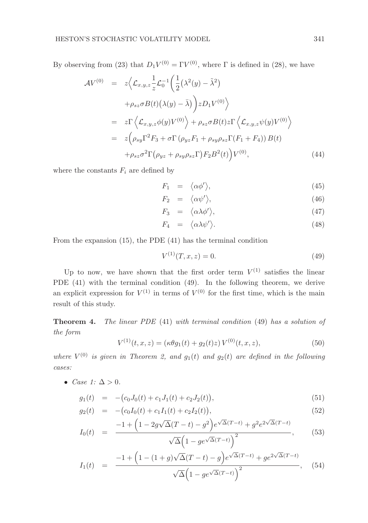By observing from (23) that  $D_1V^{(0)} = \Gamma V^{(0)}$ , where  $\Gamma$  is defined in (28), we have

$$
\mathcal{A}V^{(0)} = z \Big\langle \mathcal{L}_{x,y,z} \frac{1}{z} \mathcal{L}_0^{-1} \Big( \frac{1}{2} \big( \lambda^2(y) - \tilde{\lambda}^2 \big) \n+ \rho_{sz} \sigma B(t) \big( \lambda(y) - \bar{\lambda} \big) \Big) z D_1 V^{(0)} \Big\rangle \n= z \Gamma \Big\langle \mathcal{L}_{x,y,z} \phi(y) V^{(0)} \Big\rangle + \rho_{sz} \sigma B(t) z \Gamma \Big\langle \mathcal{L}_{x,y,z} \psi(y) V^{(0)} \Big\rangle \n= z \Big( \rho_{sy} \Gamma^2 F_3 + \sigma \Gamma \big( \rho_{yz} F_1 + \rho_{sy} \rho_{sz} \Gamma(F_1 + F_4) \big) B(t) \n+ \rho_{sz} \sigma^2 \Gamma \big( \rho_{yz} + \rho_{sy} \rho_{sz} \Gamma \big) F_2 B^2(t) \Big) V^{(0)},
$$
\n(44)

where the constants  $F_i$  are defined by

$$
F_1 = \langle \alpha \phi' \rangle, \tag{45}
$$

$$
F_2 = \langle \alpha \psi' \rangle, \tag{46}
$$

$$
F_3 = \langle \alpha \lambda \phi' \rangle, \tag{47}
$$

$$
F_4 = \langle \alpha \lambda \psi' \rangle. \tag{48}
$$

From the expansion (15), the PDE (41) has the terminal condition

$$
V^{(1)}(T, x, z) = 0.
$$
\n(49)

Up to now, we have shown that the first order term  $V^{(1)}$  satisfies the linear PDE (41) with the terminal condition (49). In the following theorem, we derive an explicit expression for  $V^{(1)}$  in terms of  $V^{(0)}$  for the first time, which is the main result of this study.

Theorem 4. The linear PDE (41) with terminal condition (49) has a solution of the form

$$
V^{(1)}(t, x, z) = (\kappa \theta g_1(t) + g_2(t)z) V^{(0)}(t, x, z), \tag{50}
$$

where  $V^{(0)}$  is given in Theorem 2, and  $g_1(t)$  and  $g_2(t)$  are defined in the following cases:

• Case 1:  $\Delta > 0$ .

$$
g_1(t) = -\big(c_0 J_0(t) + c_1 J_1(t) + c_2 J_2(t)\big),\tag{51}
$$

$$
g_2(t) = -\big(c_0I_0(t) + c_1I_1(t) + c_2I_2(t)\big),\tag{52}
$$

$$
I_0(t) = \frac{-1 + \left(1 - 2g\sqrt{\Delta}(T - t) - g^2\right)e^{\sqrt{\Delta}(T - t)} + g^2 e^{2\sqrt{\Delta}(T - t)}}{\sqrt{\Delta}\left(1 - ge^{\sqrt{\Delta}(T - t)}\right)^2},
$$
(53)

$$
I_1(t) = \frac{-1 + (1 - (1 + g)\sqrt{\Delta}(T - t) - g)e^{\sqrt{\Delta}(T - t)} + ge^{2\sqrt{\Delta}(T - t)}}{\sqrt{\Delta}(1 - ge^{\sqrt{\Delta}(T - t)})^2}, \quad (54)
$$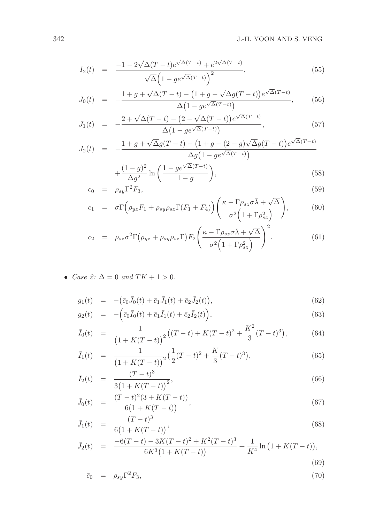$$
I_2(t) = \frac{-1 - 2\sqrt{\Delta}(T - t)e^{\sqrt{\Delta}(T - t)} + e^{2\sqrt{\Delta}(T - t)}}{\sqrt{\Delta}\left(1 - ge^{\sqrt{\Delta}(T - t)}\right)^2},
$$
\n
$$
(55)
$$

$$
J_0(t) = -\frac{1+g + \sqrt{\Delta}(T-t) - (1+g - \sqrt{\Delta}g(T-t))e^{\sqrt{\Delta}(T-t)}}{\Delta(1 - ge^{\sqrt{\Delta}(T-t)})},
$$
(56)

$$
J_1(t) = -\frac{2 + \sqrt{\Delta}(T - t) - (2 - \sqrt{\Delta}(T - t))e^{\sqrt{\Delta}(T - t)}}{\Delta(1 - ge^{\sqrt{\Delta}(T - t)})},
$$
\n(57)

$$
J_2(t) = -\frac{1+g+\sqrt{\Delta}g(T-t) - (1+g-(2-g)\sqrt{\Delta}g(T-t))e^{\sqrt{\Delta}(T-t)}}{\Delta g(1-g e^{\sqrt{\Delta}(T-t)})}
$$

$$
+\frac{(1-g)^2}{\Delta g^2}\ln\left(\frac{1-ge^{\sqrt{\Delta}(T-t)}}{1-g}\right),\tag{58}
$$

$$
c_0 = \rho_{sy} \Gamma^2 F_3, \tag{59}
$$

$$
c_1 = \sigma \Gamma \left( \rho_{yz} F_1 + \rho_{sy} \rho_{sz} \Gamma(F_1 + F_4) \right) \left( \frac{\kappa - \Gamma \rho_{sz} \sigma \bar{\lambda} + \sqrt{\Delta}}{\sigma^2 \left( 1 + \Gamma \rho_{sz}^2 \right)} \right), \tag{60}
$$

$$
c_2 = \rho_{sz} \sigma^2 \Gamma \left( \rho_{yz} + \rho_{sy} \rho_{sz} \Gamma \right) F_2 \left( \frac{\kappa - \Gamma \rho_{sz} \sigma \bar{\lambda} + \sqrt{\Delta}}{\sigma^2 \left( 1 + \Gamma \rho_{sz}^2 \right)} \right)^2.
$$
 (61)

• Case 2:  $\Delta = 0$  and  $TK + 1 > 0$ .

$$
g_1(t) = -(\bar{c}_0 \bar{J}_0(t) + \bar{c}_1 \bar{J}_1(t) + \bar{c}_2 \bar{J}_2(t)), \qquad (62)
$$

$$
g_2(t) = -\left(\bar{c}_0\bar{I}_0(t) + \bar{c}_1\bar{I}_1(t) + \bar{c}_2\bar{I}_2(t)\right),\tag{63}
$$

$$
\bar{I}_0(t) = \frac{1}{\left(1 + K(T - t)\right)^2} \left( (T - t) + K(T - t)^2 + \frac{K^2}{3} (T - t)^3 \right),\tag{64}
$$

$$
\bar{I}_1(t) = \frac{1}{\left(1 + K(T - t)\right)^2} \left(\frac{1}{2}(T - t)^2 + \frac{K}{3}(T - t)^3\right),\tag{65}
$$

$$
\bar{I}_2(t) = \frac{(T-t)^3}{3(1+K(T-t))^2},\tag{66}
$$

$$
\bar{J}_0(t) = \frac{(T-t)^2(3+K(T-t))}{6(1+K(T-t))},\tag{67}
$$

$$
\bar{J}_1(t) = \frac{(T-t)^3}{6(1+K(T-t))},\tag{68}
$$

$$
\bar{J}_2(t) = \frac{-6(T-t) - 3K(T-t)^2 + K^2(T-t)^3}{6K^3(1 + K(T-t))} + \frac{1}{K^4} \ln\left(1 + K(T-t)\right),\tag{69}
$$

$$
\bar{c}_0 = \rho_{sy} \Gamma^2 F_3,\tag{70}
$$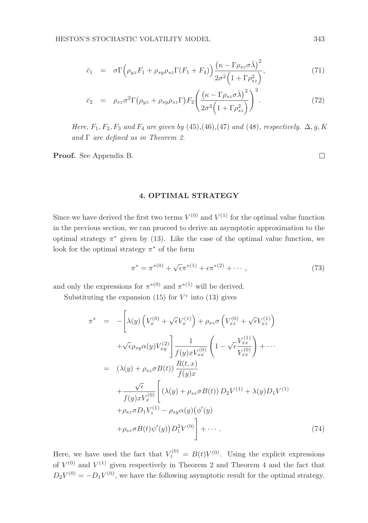$$
\bar{c}_1 = \sigma \Gamma \Big( \rho_{yz} F_1 + \rho_{sy} \rho_{sz} \Gamma (F_1 + F_4) \Big) \frac{\left( \kappa - \Gamma \rho_{sz} \sigma \bar{\lambda} \right)^2}{2 \sigma^2 \Big( 1 + \Gamma \rho_{sz}^2 \Big)},\tag{71}
$$

$$
\bar{c}_2 = \rho_{sz} \sigma^2 \Gamma \big( \rho_{yz} + \rho_{sy} \rho_{sz} \Gamma \big) F_2 \bigg( \frac{\left( \kappa - \Gamma \rho_{sz} \sigma \bar{\lambda} \right)^2}{2 \sigma^2 \left( 1 + \Gamma \rho_{sz}^2 \right)} \bigg)^2. \tag{72}
$$

Here,  $F_1, F_2, F_3$  and  $F_4$  are given by (45),(46),(47) and (48), respectively.  $\Delta, g, K$ and  $\Gamma$  are defined as in Theorem 2.

Proof. See Appendix B.

 $\Box$ 

# 4. OPTIMAL STRATEGY

Since we have derived the first two terms  $V^{(0)}$  and  $V^{(1)}$  for the optimal value function in the previous section, we can proceed to derive an asymptotic approximation to the optimal strategy  $\pi^*$  given by (13). Like the case of the optimal value function, we look for the optimal strategy  $\pi^*$  of the form

$$
\pi^* = \pi^{*(0)} + \sqrt{\epsilon} \pi^{*(1)} + \epsilon \pi^{*(2)} + \cdots, \qquad (73)
$$

and only the expressions for  $\pi^{*(0)}$  and  $\pi^{*(1)}$  will be derived.

Substituting the expansion (15) for  $V^{\epsilon}$  into (13) gives

$$
\pi^* = -\left[\lambda(y)\left(V_x^{(0)} + \sqrt{\epsilon}V_x^{(1)}\right) + \rho_{sz}\sigma\left(V_{xz}^{(0)} + \sqrt{\epsilon}V_{xz}^{(1)}\right) \right. \left. + \sqrt{\epsilon}\rho_{sy}\alpha(y)V_{xy}^{(2)}\right] \frac{1}{f(y)xV_{xx}^{(0)}} \left(1 - \sqrt{\epsilon}\frac{V_{xx}^{(1)}}{V_{xx}^{(0)}}\right) + \cdots \n= (\lambda(y) + \rho_{sz}\sigma B(t))\frac{R(t,x)}{f(y)x} \n+ \frac{\sqrt{\epsilon}}{f(y)xV_x^{(0)}} \left[ (\lambda(y) + \rho_{sz}\sigma B(t)) D_2V^{(1)} + \lambda(y)D_1V^{(1)} \right. \left. + \rho_{sz}\sigma D_1V_z^{(1)} - \rho_{sy}\alpha(y)\left(\phi'(y)\right) \right. \left. + \rho_{sz}\sigma B(t)\psi'(y)D_1^2V^{(0)}\right) + \cdots
$$
\n(74)

Here, we have used the fact that  $V_z^{(0)} = B(t)V^{(0)}$ . Using the explicit expressions of  $V^{(0)}$  and  $V^{(1)}$  given respectively in Theorem 2 and Theorem 4 and the fact that  $D_2V^{(0)} = -D_1V^{(0)}$ , we have the following asymptotic result for the optimal strategy.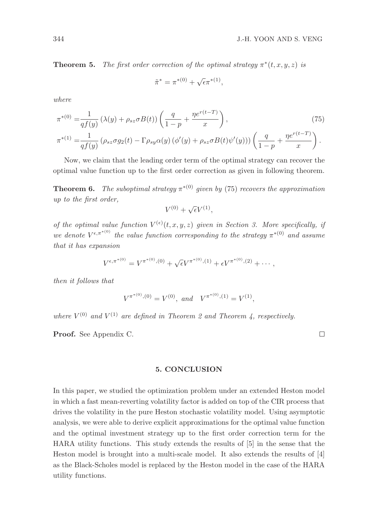**Theorem 5.** The first order correction of the optimal strategy  $\pi^*(t, x, y, z)$  is

$$
\tilde{\pi}^* = \pi^{*(0)} + \sqrt{\epsilon} \pi^{*(1)},
$$

where

$$
\pi^{*(0)} = \frac{1}{qf(y)} \left(\lambda(y) + \rho_{sz}\sigma B(t)\right) \left(\frac{q}{1-p} + \frac{\eta e^{r(t-T)}}{x}\right),\tag{75}
$$
\n
$$
\pi^{*(1)} = \frac{1}{qf(y)} \left(\rho_{sz}\sigma g_2(t) - \Gamma \rho_{sy}\alpha(y)\left(\phi'(y) + \rho_{sz}\sigma B(t)\psi'(y)\right)\right) \left(\frac{q}{1-p} + \frac{\eta e^{r(t-T)}}{x}\right).
$$

Now, we claim that the leading order term of the optimal strategy can recover the optimal value function up to the first order correction as given in following theorem.

**Theorem 6.** The suboptimal strategy  $\pi^{*(0)}$  given by (75) recovers the approximation up to the first order,

$$
V^{(0)} + \sqrt{\epsilon} V^{(1)},
$$

of the optimal value function  $V^{(\epsilon)}(t, x, y, z)$  given in Section 3. More specifically, if we denote  $V^{\epsilon,\pi^{*(0)}}$  the value function corresponding to the strategy  $\pi^{*(0)}$  and assume that it has expansion

$$
V^{\epsilon,\pi^{*(0)}} = V^{\pi^{*(0)},(0)} + \sqrt{\epsilon} V^{\pi^{*(0)},(1)} + \epsilon V^{\pi^{*(0)},(2)} + \cdots,
$$

then it follows that

$$
V^{\pi^{*(0)}, (0)} = V^{(0)}, \text{ and } V^{\pi^{*(0)}, (1)} = V^{(1)},
$$

where  $V^{(0)}$  and  $V^{(1)}$  are defined in Theorem 2 and Theorem 4, respectively.

Proof. See Appendix C.

5. CONCLUSION

In this paper, we studied the optimization problem under an extended Heston model in which a fast mean-reverting volatility factor is added on top of the CIR process that drives the volatility in the pure Heston stochastic volatility model. Using asymptotic analysis, we were able to derive explicit approximations for the optimal value function and the optimal investment strategy up to the first order correction term for the HARA utility functions. This study extends the results of [5] in the sense that the Heston model is brought into a multi-scale model. It also extends the results of [4] as the Black-Scholes model is replaced by the Heston model in the case of the HARA utility functions.

 $\Box$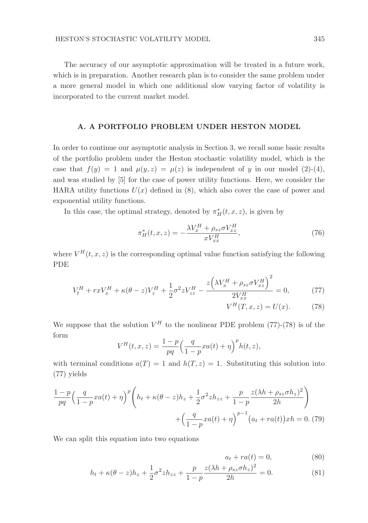The accuracy of our asymptotic approximation will be treated in a future work, which is in preparation. Another research plan is to consider the same problem under a more general model in which one additional slow varying factor of volatility is incorporated to the current market model.

#### A. A PORTFOLIO PROBLEM UNDER HESTON MODEL

In order to continue our asymptotic analysis in Section 3, we recall some basic results of the portfolio problem under the Heston stochastic volatility model, which is the case that  $f(y) = 1$  and  $\mu(y, z) = \mu(z)$  is independent of y in our model (2)-(4), and was studied by [5] for the case of power utility functions. Here, we consider the HARA utility functions  $U(x)$  defined in (8), which also cover the case of power and exponential utility functions.

In this case, the optimal strategy, denoted by  $\pi^*_{H}(t, x, z)$ , is given by

$$
\pi_H^*(t, x, z) = -\frac{\lambda V_x^H + \rho_{sz} \sigma V_{xz}^H}{x V_{xx}^H},\tag{76}
$$

where  $V^H(t, x, z)$  is the corresponding optimal value function satisfying the following PDE

$$
V_t^H + rxV_x^H + \kappa(\theta - z)V_z^H + \frac{1}{2}\sigma^2 zV_{zz}^H - \frac{z\left(\lambda V_x^H + \rho_{sz}\sigma V_{xz}^H\right)^2}{2V_{xx}^H} = 0,\tag{77}
$$

$$
V^H(T, x, z) = U(x). \tag{78}
$$

We suppose that the solution  $V^H$  to the nonlinear PDE problem (77)-(78) is of the form

$$
V^{H}(t, x, z) = \frac{1-p}{pq} \left( \frac{q}{1-p} x a(t) + \eta \right)^{p} h(t, z),
$$

with terminal conditions  $a(T) = 1$  and  $h(T, z) = 1$ . Substituting this solution into (77) yields

$$
\frac{1-p}{pq} \left( \frac{q}{1-p} x a(t) + \eta \right)^p \left( h_t + \kappa (\theta - z) h_z + \frac{1}{2} \sigma^2 z h_{zz} + \frac{p}{1-p} \frac{z(\lambda h + \rho_{sz} \sigma h_z)^2}{2h} \right) + \left( \frac{q}{1-p} x a(t) + \eta \right)^{p-1} \left( a_t + r a(t) \right) x h = 0. \tag{79}
$$

We can split this equation into two equations

$$
a_t + ra(t) = 0,\t\t(80)
$$

$$
h_t + \kappa(\theta - z)h_z + \frac{1}{2}\sigma^2 z h_{zz} + \frac{p}{1 - p} \frac{z(\lambda h + \rho_{sz}\sigma h_z)^2}{2h} = 0.
$$
 (81)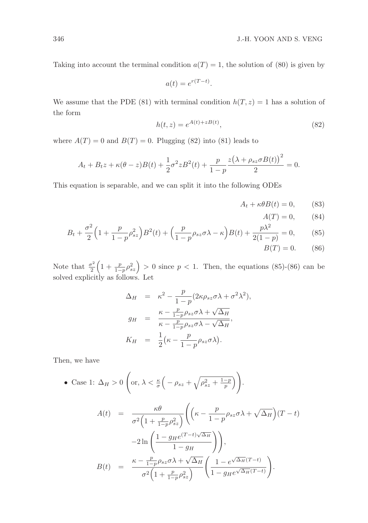Taking into account the terminal condition  $a(T) = 1$ , the solution of (80) is given by

$$
a(t) = e^{r(T-t)}.
$$

We assume that the PDE (81) with terminal condition  $h(T, z) = 1$  has a solution of the form

$$
h(t, z) = e^{A(t) + zB(t)},
$$
\n(82)

where  $A(T) = 0$  and  $B(T) = 0$ . Plugging (82) into (81) leads to

$$
A_t + B_t z + \kappa (\theta - z)B(t) + \frac{1}{2}\sigma^2 z B^2(t) + \frac{p}{1 - p} \frac{z(\lambda + \rho_{sz} \sigma B(t))^2}{2} = 0.
$$

This equation is separable, and we can split it into the following ODEs

$$
A_t + \kappa \theta B(t) = 0, \qquad (83)
$$

$$
A(T) = 0,\t(84)
$$

$$
B_t + \frac{\sigma^2}{2} \left( 1 + \frac{p}{1 - p} \rho_{sz}^2 \right) B^2(t) + \left( \frac{p}{1 - p} \rho_{sz} \sigma \lambda - \kappa \right) B(t) + \frac{p \lambda^2}{2(1 - p)} = 0, \tag{85}
$$

$$
B(T) = 0.\t(86)
$$

Note that  $\frac{\sigma^2}{2}$ 2  $\left(1+\frac{p}{1-p}\rho_{sz}^2\right) > 0$  since  $p < 1$ . Then, the equations (85)-(86) can be solved explicitly as follows. Let

$$
\Delta_H = \kappa^2 - \frac{p}{1-p} (2\kappa \rho_{sz} \sigma \lambda + \sigma^2 \lambda^2),
$$
  
\n
$$
g_H = \frac{\kappa - \frac{p}{1-p} \rho_{sz} \sigma \lambda + \sqrt{\Delta_H}}{\kappa - \frac{p}{1-p} \rho_{sz} \sigma \lambda - \sqrt{\Delta_H}},
$$
  
\n
$$
K_H = \frac{1}{2} (\kappa - \frac{p}{1-p} \rho_{sz} \sigma \lambda).
$$

Then, we have

• Case 1: 
$$
\Delta_H > 0
$$
 (or,  $\lambda < \frac{\kappa}{\sigma} \left( -\rho_{sz} + \sqrt{\rho_{sz}^2 + \frac{1-p}{p}} \right)$ ).

$$
A(t) = \frac{\kappa \theta}{\sigma^2 \left(1 + \frac{p}{1 - p} \rho_{sz}^2\right)} \left( \left(\kappa - \frac{p}{1 - p} \rho_{sz} \sigma \lambda + \sqrt{\Delta_H}\right) (T - t) -2 \ln\left(\frac{1 - g_H e^{(T - t)\sqrt{\Delta_H}}}{1 - g_H}\right) \right),
$$
  
\n
$$
B(t) = \frac{\kappa - \frac{p}{1 - p} \rho_{sz} \sigma \lambda + \sqrt{\Delta_H}}{\sigma^2 \left(1 + \frac{p}{1 - p} \rho_{sz}^2\right)} \left(\frac{1 - e^{\sqrt{\Delta_H}(T - t)}}{1 - g_H e^{\sqrt{\Delta_H}(T - t)}}\right).
$$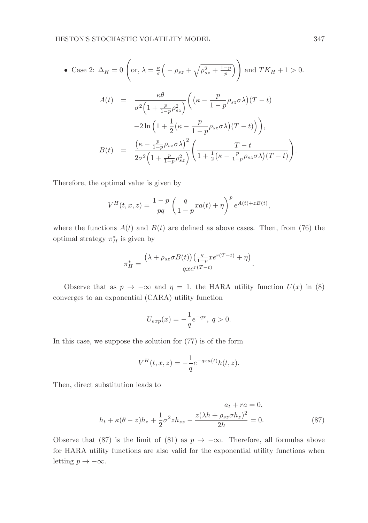• Case 2: 
$$
\Delta_H = 0
$$
 (or,  $\lambda = \frac{\kappa}{\sigma} \left( -\rho_{sz} + \sqrt{\rho_{sz}^2 + \frac{1-p}{p}} \right)$ ) and  $TK_H + 1 > 0$ .  
\n
$$
A(t) = \frac{\kappa \theta}{\sigma^2 \left( 1 + \frac{p}{1-p} \rho_{sz}^2 \right)} \left( \left( \kappa - \frac{p}{1-p} \rho_{sz} \sigma \lambda \right) (T - t) - 2 \ln \left( 1 + \frac{1}{2} \left( \kappa - \frac{p}{1-p} \rho_{sz} \sigma \lambda \right) (T - t) \right) \right),
$$
\n
$$
B(t) = \frac{\left( \kappa - \frac{p}{1-p} \rho_{sz} \sigma \lambda \right)^2}{2\sigma^2 \left( 1 + \frac{p}{1-p} \rho_{sz}^2 \right)} \left( \frac{T - t}{1 + \frac{1}{2} \left( \kappa - \frac{p}{1-p} \rho_{sz} \sigma \lambda \right) (T - t) \right).
$$

Therefore, the optimal value is given by

$$
V^{H}(t, x, z) = \frac{1-p}{pq} \left( \frac{q}{1-p} x a(t) + \eta \right)^{p} e^{A(t) + z B(t)},
$$

where the functions  $A(t)$  and  $B(t)$  are defined as above cases. Then, from (76) the optimal strategy  $\pi_H^*$  is given by

$$
\pi_H^* = \frac{\left(\lambda + \rho_{sz}\sigma B(t)\right)\left(\frac{q}{1-p}xe^{r(T-t)} + \eta\right)}{qxe^{r(T-t)}}.
$$

Observe that as  $p \to -\infty$  and  $\eta = 1$ , the HARA utility function  $U(x)$  in (8) converges to an exponential (CARA) utility function

$$
U_{exp}(x) = -\frac{1}{q}e^{-qx}, \ q > 0.
$$

In this case, we suppose the solution for (77) is of the form

$$
V^H(t, x, z) = -\frac{1}{q}e^{-qxa(t)}h(t, z).
$$

Then, direct substitution leads to

$$
a_t + ra = 0,
$$
  

$$
h_t + \kappa(\theta - z)h_z + \frac{1}{2}\sigma^2 z h_{zz} - \frac{z(\lambda h + \rho_{sz}\sigma h_z)^2}{2h} = 0.
$$
 (87)

Observe that (87) is the limit of (81) as  $p \to -\infty$ . Therefore, all formulas above for HARA utility functions are also valid for the exponential utility functions when letting  $p \to -\infty$ .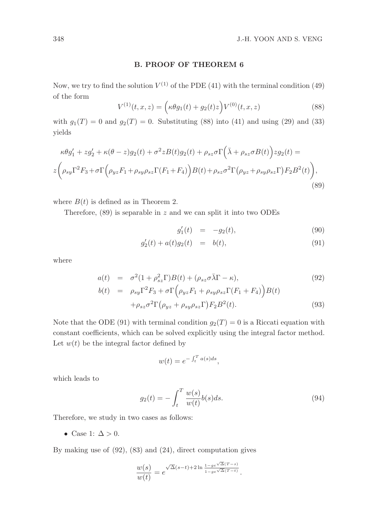#### B. PROOF OF THEOREM 6

Now, we try to find the solution  $V^{(1)}$  of the PDE (41) with the terminal condition (49) of the form

$$
V^{(1)}(t, x, z) = \left(\kappa \theta g_1(t) + g_2(t) z\right) V^{(0)}(t, x, z) \tag{88}
$$

with  $g_1(T) = 0$  and  $g_2(T) = 0$ . Substituting (88) into (41) and using (29) and (33) yields

$$
\kappa \theta g_1' + z g_2' + \kappa (\theta - z) g_2(t) + \sigma^2 z B(t) g_2(t) + \rho_{sz} \sigma \Gamma \left( \bar{\lambda} + \rho_{sz} \sigma B(t) \right) z g_2(t) =
$$
  

$$
z \left( \rho_{sy} \Gamma^2 F_3 + \sigma \Gamma \left( \rho_{yz} F_1 + \rho_{sy} \rho_{sz} \Gamma(F_1 + F_4) \right) B(t) + \rho_{sz} \sigma^2 \Gamma \left( \rho_{yz} + \rho_{sy} \rho_{sz} \Gamma \right) F_2 B^2(t) \right),
$$
  
(89)

where  $B(t)$  is defined as in Theorem 2.

Therefore,  $(89)$  is separable in z and we can split it into two ODEs

$$
g_1'(t) = -g_2(t), \t\t(90)
$$

$$
g_2'(t) + a(t)g_2(t) = b(t), \tag{91}
$$

where

$$
a(t) = \sigma^2 (1 + \rho_{sz}^2 \Gamma) B(t) + (\rho_{sz} \sigma \bar{\lambda} \Gamma - \kappa), \qquad (92)
$$

$$
b(t) = \rho_{sy} \Gamma^2 F_3 + \sigma \Gamma \left( \rho_{yz} F_1 + \rho_{sy} \rho_{sz} \Gamma(F_1 + F_4) \right) B(t)
$$
  
+ 
$$
\rho_{sz} \sigma^2 \Gamma \left( \rho_{yz} + \rho_{sy} \rho_{sz} \Gamma \right) F_2 B^2(t).
$$
 (93)

Note that the ODE (91) with terminal condition  $q_2(T) = 0$  is a Riccati equation with constant coefficients, which can be solved explicitly using the integral factor method. Let  $w(t)$  be the integral factor defined by

$$
w(t) = e^{-\int_t^T a(s)ds},
$$

which leads to

$$
g_2(t) = -\int_t^T \frac{w(s)}{w(t)} b(s) ds.
$$
 (94)

Therefore, we study in two cases as follows:

• Case 1:  $\Delta > 0$ .

By making use of (92), (83) and (24), direct computation gives

$$
\frac{w(s)}{w(t)} = e^{\sqrt{\Delta}(s-t)+2\ln\frac{1-g e^{\sqrt{\Delta}(T-s)}}{1-g e^{\sqrt{\Delta}(T-t)}}}.
$$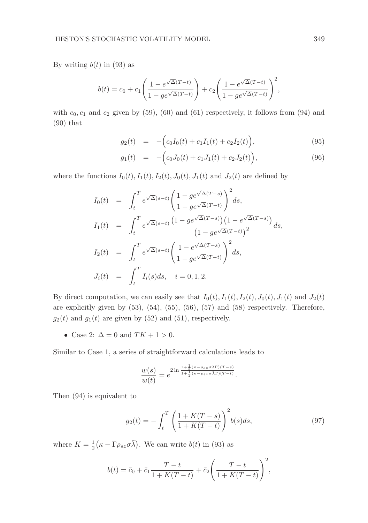By writing  $b(t)$  in (93) as

$$
b(t) = c_0 + c_1 \left( \frac{1 - e^{\sqrt{\Delta}(T-t)}}{1 - ge^{\sqrt{\Delta}(T-t)}} \right) + c_2 \left( \frac{1 - e^{\sqrt{\Delta}(T-t)}}{1 - ge^{\sqrt{\Delta}(T-t)}} \right)^2,
$$

with  $c_0, c_1$  and  $c_2$  given by (59), (60) and (61) respectively, it follows from (94) and (90) that

$$
g_2(t) = -\Big(c_0I_0(t) + c_1I_1(t) + c_2I_2(t)\Big), \tag{95}
$$

$$
g_1(t) = -\Big(c_0J_0(t) + c_1J_1(t) + c_2J_2(t)\Big), \tag{96}
$$

where the functions  $I_0(t)$ ,  $I_1(t)$ ,  $I_2(t)$ ,  $J_0(t)$ ,  $J_1(t)$  and  $J_2(t)$  are defined by

$$
I_0(t) = \int_t^T e^{\sqrt{\Delta}(s-t)} \left( \frac{1 - ge^{\sqrt{\Delta}(T-s)}}{1 - ge^{\sqrt{\Delta}(T-t)}} \right)^2 ds,
$$
  
\n
$$
I_1(t) = \int_t^T e^{\sqrt{\Delta}(s-t)} \frac{(1 - ge^{\sqrt{\Delta}(T-s)}})(1 - e^{\sqrt{\Delta}(T-s)})}{(1 - ge^{\sqrt{\Delta}(T-t)})^2} ds,
$$
  
\n
$$
I_2(t) = \int_t^T e^{\sqrt{\Delta}(s-t)} \left( \frac{1 - e^{\sqrt{\Delta}(T-s)}}{1 - ge^{\sqrt{\Delta}(T-t)}} \right)^2 ds,
$$
  
\n
$$
J_i(t) = \int_t^T I_i(s) ds, \quad i = 0, 1, 2.
$$

By direct computation, we can easily see that  $I_0(t)$ ,  $I_1(t)$ ,  $I_2(t)$ ,  $J_0(t)$ ,  $J_1(t)$  and  $J_2(t)$ are explicitly given by  $(53)$ ,  $(54)$ ,  $(55)$ ,  $(56)$ ,  $(57)$  and  $(58)$  respectively. Therefore,  $g_2(t)$  and  $g_1(t)$  are given by (52) and (51), respectively.

• Case 2:  $\Delta = 0$  and  $TK + 1 > 0$ .

Similar to Case 1, a series of straightforward calculations leads to

$$
\frac{w(s)}{w(t)} = e^{2 \ln \frac{1 + \frac{1}{2} (\kappa - \rho_{sz} \sigma \bar{\lambda} \Gamma)(T - s)}{1 + \frac{1}{2} (\kappa - \rho_{sz} \sigma \bar{\lambda} \Gamma)(T - t)}}.
$$

Then (94) is equivalent to

$$
g_2(t) = -\int_t^T \left(\frac{1 + K(T - s)}{1 + K(T - t)}\right)^2 b(s)ds,\tag{97}
$$

where  $K = \frac{1}{2} (\kappa - \Gamma \rho_{sz} \sigma \bar{\lambda})$ . We can write  $b(t)$  in (93) as

$$
b(t) = \bar{c}_0 + \bar{c}_1 \frac{T - t}{1 + K(T - t)} + \bar{c}_2 \left( \frac{T - t}{1 + K(T - t)} \right)^2,
$$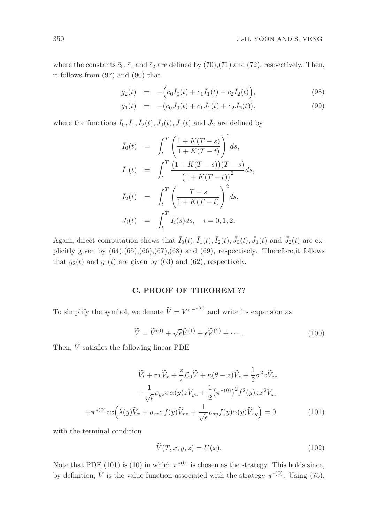where the constants  $\bar{c}_0$ ,  $\bar{c}_1$  and  $\bar{c}_2$  are defined by (70),(71) and (72), respectively. Then, it follows from (97) and (90) that

$$
g_2(t) = -(\bar{c}_0 \bar{I}_0(t) + \bar{c}_1 \bar{I}_1(t) + \bar{c}_2 \bar{I}_2(t)), \qquad (98)
$$

$$
g_1(t) = -(\bar{c}_0 \bar{J}_0(t) + \bar{c}_1 \bar{J}_1(t) + \bar{c}_2 \bar{J}_2(t)), \qquad (99)
$$

where the functions  $\bar{I}_0$ ,  $\bar{I}_1$ ,  $\bar{I}_2(t)$ ,  $\bar{J}_0(t)$ ,  $\bar{J}_1(t)$  and  $\bar{J}_2$  are defined by

$$
\begin{array}{rcl}\n\bar{I}_0(t) & = & \int_t^T \left( \frac{1 + K(T - s)}{1 + K(T - t)} \right)^2 ds, \\
\bar{I}_1(t) & = & \int_t^T \frac{\left( 1 + K(T - s) \right) (T - s)}{\left( 1 + K(T - t) \right)^2} ds, \\
\bar{I}_2(t) & = & \int_t^T \left( \frac{T - s}{1 + K(T - t)} \right)^2 ds, \\
\bar{J}_i(t) & = & \int_t^T \bar{I}_i(s) ds, \quad i = 0, 1, 2.\n\end{array}
$$

Again, direct computation shows that  $\bar{I}_0(t), \bar{I}_1(t), \bar{I}_2(t), \bar{J}_0(t), \bar{J}_1(t)$  and  $\bar{J}_2(t)$  are explicitly given by  $(64)$ , $(65)$ , $(66)$ , $(67)$ , $(68)$  and  $(69)$ , respectively. Therefore, it follows that  $g_2(t)$  and  $g_1(t)$  are given by (63) and (62), respectively.

#### C. PROOF OF THEOREM ??

To simplify the symbol, we denote  $\widetilde{V} = V^{\epsilon, \pi^{*(0)}}$  and write its expansion as

$$
\widetilde{V} = \widetilde{V}^{(0)} + \sqrt{\epsilon}\widetilde{V}^{(1)} + \epsilon\widetilde{V}^{(2)} + \cdots.
$$
\n(100)

Then,  $\tilde{V}$  satisfies the following linear PDE

$$
\widetilde{V}_t + rx\widetilde{V}_x + \frac{z}{\epsilon}\mathcal{L}_0\widetilde{V} + \kappa(\theta - z)\widetilde{V}_z + \frac{1}{2}\sigma^2 z \widetilde{V}_{zz} \n+ \frac{1}{\sqrt{\epsilon}}\rho_{yz}\sigma\alpha(y)z\widetilde{V}_{yz} + \frac{1}{2}(\pi^{*(0)})^2 f^2(y)zx^2\widetilde{V}_{xx} \n+ \pi^{*(0)}zx\left(\lambda(y)\widetilde{V}_x + \rho_{sz}\sigma f(y)\widetilde{V}_{xz} + \frac{1}{\sqrt{\epsilon}}\rho_{sy}f(y)\alpha(y)\widetilde{V}_{xy}\right) = 0,
$$
\n(101)

with the terminal condition

$$
\widetilde{V}(T, x, y, z) = U(x). \tag{102}
$$

Note that PDE (101) is (10) in which  $\pi^{*(0)}$  is chosen as the strategy. This holds since, by definition,  $\tilde{V}$  is the value function associated with the strategy  $\pi^{*(0)}$ . Using (75),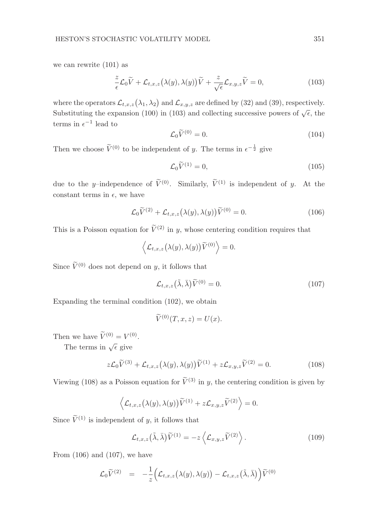we can rewrite (101) as

$$
\frac{z}{\epsilon}\mathcal{L}_0\widetilde{V} + \mathcal{L}_{t,x,z}\big(\lambda(y),\lambda(y)\big)\widetilde{V} + \frac{z}{\sqrt{\epsilon}}\mathcal{L}_{x,y,z}\widetilde{V} = 0,\tag{103}
$$

where the operators  $\mathcal{L}_{t,x,z}(\lambda_1,\lambda_2)$  and  $\mathcal{L}_{x,y,z}$  are defined by (32) and (39), respectively. Substituting the expansion (100) in (103) and collecting successive powers of  $\sqrt{\epsilon}$ , the terms in  $\epsilon^{-1}$  lead to

$$
\mathcal{L}_0 \tilde{V}^{(0)} = 0. \tag{104}
$$

Then we choose  $\widetilde{V}^{(0)}$  to be independent of y. The terms in  $\epsilon^{-\frac{1}{2}}$  give

$$
\mathcal{L}_0 \widetilde{V}^{(1)} = 0,\tag{105}
$$

due to the y-independence of  $\tilde{V}^{(0)}$ . Similarly,  $\tilde{V}^{(1)}$  is independent of y. At the constant terms in  $\epsilon$ , we have

$$
\mathcal{L}_0 \widetilde{V}^{(2)} + \mathcal{L}_{t,x,z} \big(\lambda(y), \lambda(y)\big) \widetilde{V}^{(0)} = 0. \tag{106}
$$

This is a Poisson equation for  $\widetilde{V}^{(2)}$  in y, whose centering condition requires that

$$
\left\langle \mathcal{L}_{t,x,z}(\lambda(y),\lambda(y))\widetilde{V}^{(0)}\right\rangle =0.
$$

Since  $\tilde{V}^{(0)}$  does not depend on y, it follows that

$$
\mathcal{L}_{t,x,z}(\tilde{\lambda},\bar{\lambda})\tilde{V}^{(0)}=0.
$$
\n(107)

Expanding the terminal condition (102), we obtain

$$
\widetilde{V}^{(0)}(T, x, z) = U(x).
$$

Then we have  $\widetilde{V}^{(0)} = V^{(0)}$ .

The terms in  $\sqrt{\epsilon}$  give

$$
z\mathcal{L}_0\widetilde{V}^{(3)} + \mathcal{L}_{t,x,z}\big(\lambda(y),\lambda(y)\big)\widetilde{V}^{(1)} + z\mathcal{L}_{x,y,z}\widetilde{V}^{(2)} = 0.
$$
 (108)

Viewing (108) as a Poisson equation for  $\tilde{V}^{(3)}$  in y, the centering condition is given by

$$
\left\langle \mathcal{L}_{t,x,z}(\lambda(y),\lambda(y))\widetilde{V}^{(1)} + z\mathcal{L}_{x,y,z}\widetilde{V}^{(2)} \right\rangle = 0.
$$

Since  $\widetilde{V}^{(1)}$  is independent of y, it follows that

$$
\mathcal{L}_{t,x,z}(\tilde{\lambda},\bar{\lambda})\tilde{V}^{(1)} = -z\left\langle \mathcal{L}_{x,y,z}\tilde{V}^{(2)} \right\rangle.
$$
 (109)

From  $(106)$  and  $(107)$ , we have

$$
\mathcal{L}_0 \widetilde{V}^{(2)} = -\frac{1}{z} \Big( \mathcal{L}_{t,x,z} \big( \lambda(y), \lambda(y) \big) - \mathcal{L}_{t,x,z} \big( \widetilde{\lambda}, \widetilde{\lambda} \big) \Big) \widetilde{V}^{(0)}
$$